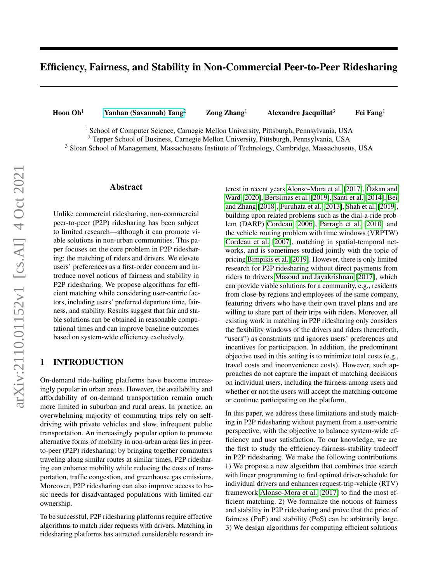# Efficiency, Fairness, and Stability in Non-Commercial Peer-to-Peer Ridesharing

Hoon Oh<sup>1</sup> [Yanhan \(Savannah\) Tang](mailto: Yanhan (Savannah) Tang <yanhanta@andrew.cmu.edu>)<sup>2</sup> Zong Zhang<sup>1</sup> Alexandre Jacquillat<sup>3</sup> Fei Fang<sup>1</sup>

<sup>1</sup> School of Computer Science, Carnegie Mellon University, Pittsburgh, Pennsylvania, USA

<sup>2</sup> Tepper School of Business, Carnegie Mellon University, Pittsburgh, Pennsylvania, USA

<sup>3</sup> Sloan School of Management, Massachusetts Institute of Technology, Cambridge, Massachusetts, USA

#### Abstract

Unlike commercial ridesharing, non-commercial peer-to-peer (P2P) ridesharing has been subject to limited research—although it can promote viable solutions in non-urban communities. This paper focuses on the core problem in P2P ridesharing: the matching of riders and drivers. We elevate users' preferences as a first-order concern and introduce novel notions of fairness and stability in P2P ridesharing. We propose algorithms for efficient matching while considering user-centric factors, including users' preferred departure time, fairness, and stability. Results suggest that fair and stable solutions can be obtained in reasonable computational times and can improve baseline outcomes based on system-wide efficiency exclusively.

## 1 INTRODUCTION

On-demand ride-hailing platforms have become increasingly popular in urban areas. However, the availability and affordability of on-demand transportation remain much more limited in suburban and rural areas. In practice, an overwhelming majority of commuting trips rely on selfdriving with private vehicles and slow, infrequent public transportation. An increasingly popular option to promote alternative forms of mobility in non-urban areas lies in peerto-peer (P2P) ridesharing: by bringing together commuters traveling along similar routes at similar times, P2P ridesharing can enhance mobility while reducing the costs of transportation, traffic congestion, and greenhouse gas emissions. Moreover, P2P ridesharing can also improve access to basic needs for disadvantaged populations with limited car ownership.

To be successful, P2P ridesharing platforms require effective algorithms to match rider requests with drivers. Matching in ridesharing platforms has attracted considerable research in-

terest in recent years [Alonso-Mora et al.](#page-9-0) [\[2017\]](#page-9-0), [Özkan and](#page-10-0) [Ward](#page-10-0) [\[2020\]](#page-10-0), [Bertsimas et al.](#page-9-1) [\[2019\]](#page-9-1), [Santi et al.](#page-10-1) [\[2014\]](#page-10-1), [Bei](#page-9-2) [and Zhang](#page-9-2) [\[2018\]](#page-9-2), [Furuhata et al.](#page-10-2) [\[2013\]](#page-10-2), [Shah et al.](#page-10-3) [\[2019\]](#page-10-3), building upon related problems such as the dial-a-ride problem (DARP) [Cordeau](#page-10-4) [\[2006\]](#page-10-4), [Parragh et al.](#page-10-5) [\[2010\]](#page-10-5) and the vehicle routing problem with time windows (VRPTW) [Cordeau et al.](#page-10-6) [\[2007\]](#page-10-6), matching in spatial-temporal networks, and is sometimes studied jointly with the topic of pricing [Bimpikis et al.](#page-9-3) [\[2019\]](#page-9-3). However, there is only limited research for P2P ridesharing without direct payments from riders to drivers [Masoud and Jayakrishnan](#page-10-7) [\[2017\]](#page-10-7), which can provide viable solutions for a community, e.g., residents from close-by regions and employees of the same company, featuring drivers who have their own travel plans and are willing to share part of their trips with riders. Moreover, all existing work in matching in P2P ridesharing only considers the flexibility windows of the drivers and riders (henceforth, "users") as constraints and ignores users' preferences and incentives for participation. In addition, the predominant objective used in this setting is to minimize total costs (e.g., travel costs and inconvenience costs). However, such approaches do not capture the impact of matching decisions on individual users, including the fairness among users and whether or not the users will accept the matching outcome or continue participating on the platform.

In this paper, we address these limitations and study matching in P2P ridesharing without payment from a user-centric perspective, with the objective to balance system-wide efficiency and user satisfaction. To our knowledge, we are the first to study the efficiency-fairness-stability tradeoff in P2P ridesharing. We make the following contributions. 1) We propose a new algorithm that combines tree search with linear programming to find optimal driver-schedule for individual drivers and enhances request-trip-vehicle (RTV) framework [Alonso-Mora et al.](#page-9-0) [\[2017\]](#page-9-0) to find the most efficient matching. 2) We formalize the notions of fairness and stability in P2P ridesharing and prove that the price of fairness (PoF) and stability (PoS) can be arbitrarily large. 3) We design algorithms for computing efficient solutions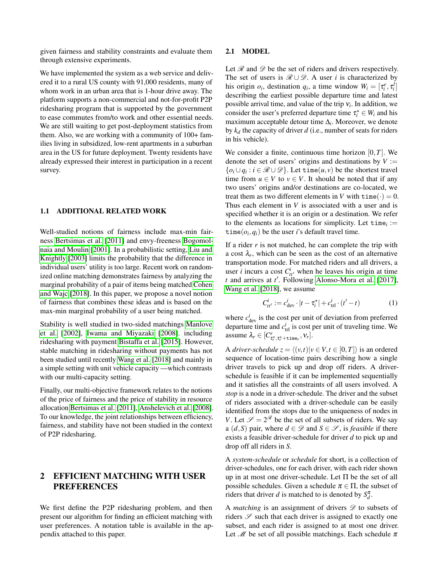given fairness and stability constraints and evaluate them through extensive experiments.

We have implemented the system as a web service and delivered it to a rural US county with 91,000 residents, many of whom work in an urban area that is 1-hour drive away. The platform supports a non-commercial and not-for-profit P2P ridesharing program that is supported by the government to ease commutes from/to work and other essential needs. We are still waiting to get post-deployment statistics from them. Also, we are working with a community of 100+ families living in subsidized, low-rent apartments in a suburban area in the US for future deployment. Twenty residents have already expressed their interest in participation in a recent survey.

#### 1.1 ADDITIONAL RELATED WORK

Well-studied notions of fairness include max-min fairness [Bertsimas et al.](#page-9-4) [\[2011\]](#page-9-4) and envy-freeness [Bogomol](#page-9-5)[naia and Moulin](#page-9-5) [\[2001\]](#page-9-5). In a probabilistic setting, [Liu and](#page-10-8) [Knightly](#page-10-8) [\[2003\]](#page-10-8) limits the probability that the difference in individual users' utility is too large. Recent work on randomized online matching demonstrates fairness by analyzing the marginal probability of a pair of items being matched [Cohen](#page-10-9) [and Wajc](#page-10-9) [\[2018\]](#page-10-9). In this paper, we propose a novel notion of fairness that combines these ideas and is based on the max-min marginal probability of a user being matched.

Stability is well studied in two-sided matchings [Manlove](#page-10-10) [et al.](#page-10-10) [\[2002\]](#page-10-10), [Iwama and Miyazaki](#page-10-11) [\[2008\]](#page-10-11). including ridesharing with payment [Bistaffa et al.](#page-9-6) [\[2015\]](#page-9-6). However, stable matching in ridesharing without payments has not been studied until recently [Wang et al.](#page-10-12) [\[2018\]](#page-10-12) and mainly in a simple setting with unit vehicle capacity —which contrasts with our multi-capacity setting.

Finally, our multi-objective framework relates to the notions of the price of fairness and the price of stability in resource allocation [Bertsimas et al.](#page-9-4) [\[2011\]](#page-9-4), [Anshelevich et al.](#page-9-7) [\[2008\]](#page-9-7). To our knowledge, the joint relationships between efficiency, fairness, and stability have not been studied in the context of P2P ridesharing.

## <span id="page-1-1"></span>2 EFFICIENT MATCHING WITH USER PREFERENCES

We first define the P2P ridesharing problem, and then present our algorithm for finding an efficient matching with user preferences. A notation table is available in the appendix attached to this paper.

### 2.1 MODEL

Let  $\mathcal R$  and  $\mathcal D$  be the set of riders and drivers respectively. The set of users is  $\mathcal{R} \cup \mathcal{D}$ . A user *i* is characterized by his origin  $o_i$ , destination  $q_i$ , a time window  $W_i = [\tau_i^e, \tau_i^l]$ describing the earliest possible departure time and latest possible arrival time, and value of the trip ν*<sup>i</sup>* . In addition, we consider the user's preferred departure time  $\tau_i^* \in W_i$  and his maximum acceptable detour time ∆*<sup>i</sup>* . Moreover, we denote by *k<sup>d</sup>* the capacity of driver *d* (i.e., number of seats for riders in his vehicle).

We consider a finite, continuous time horizon  $[0, T]$ . We denote the set of users' origins and destinations by  $V :=$  $\{o_i \cup q_i : i \in \mathcal{R} \cup \mathcal{D}\}\$ . Let time $(u, v)$  be the shortest travel time from  $u \in V$  to  $v \in V$ . It should be noted that if any two users' origins and/or destinations are co-located, we treat them as two different elements in *V* with  $\tan \theta$  = 0. Thus each element in *V* is associated with a user and is specified whether it is an origin or a destination. We refer to the elements as locations for simplicity. Let  $\tt time<sub>i</sub> :=$  $time(o_i, q_i)$  be the user *i*'s default travel time.

If a rider *r* is not matched, he can complete the trip with a cost  $\lambda_r$ , which can be seen as the cost of an alternative transportation mode. For matched riders and all drivers, a user *i* incurs a cost  $C_{tt'}^i$  when he leaves his origin at time  $t$  and arrives at  $t'$ . Following [Alonso-Mora et al.](#page-9-0) [\[2017\]](#page-9-0), [Wang et al.](#page-10-12) [\[2018\]](#page-10-12), we assume

<span id="page-1-0"></span>
$$
C_{tt'}^i := c_{\text{dev}}^i \cdot |t - \tau_i^*| + c_{\text{trl}}^i \cdot (t'-t) \tag{1}
$$

where  $c_{\text{dev}}^i$  is the cost per unit of deviation from preferred departure time and  $c_{\text{trl}}^i$  is cost per unit of traveling time. We assume  $\lambda_r \in [C^r_{\tau_r^{\star}, \tau_r^{\star} + \text{time}_r}, V_r].$ 

A *driver-schedule*  $z = \langle (v,t) | v \in V, t \in [0,T] \rangle$  is an ordered sequence of location-time pairs describing how a single driver travels to pick up and drop off riders. A driverschedule is feasible if it can be implemented sequentially and it satisfies all the constraints of all users involved. A *stop* is a node in a driver-schedule. The driver and the subset of riders associated with a driver-schedule can be easily identified from the stops due to the uniqueness of nodes in *V*. Let  $\mathcal{S} = 2^{\mathcal{R}}$  be the set of all subsets of riders. We say a  $(d, S)$  pair, where  $d \in \mathcal{D}$  and  $S \in \mathcal{S}$ , is *feasible* if there exists a feasible driver-schedule for driver *d* to pick up and drop off all riders in *S*.

A *system-schedule* or *schedule* for short, is a collection of driver-schedules, one for each driver, with each rider shown up in at most one driver-schedule. Let Π be the set of all possible schedules. Given a schedule  $\pi \in \Pi$ , the subset of riders that driver *d* is matched to is denoted by  $S_d^{\pi}$ .

A *matching* is an assignment of drivers  $\mathscr{D}$  to subsets of riders  $\mathscr S$  such that each driver is assigned to exactly one subset, and each rider is assigned to at most one driver. Let  $\mathcal M$  be set of all possible matchings. Each schedule  $\pi$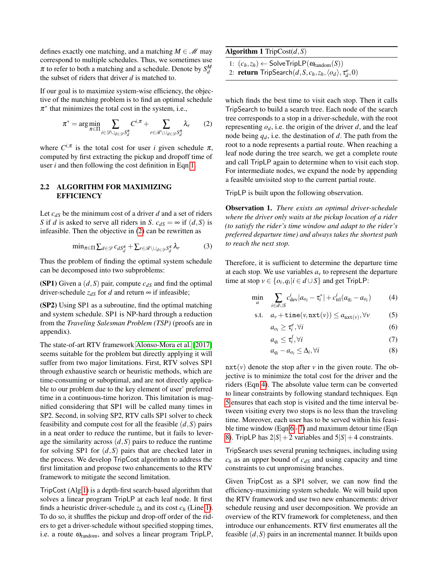defines exactly one matching, and a matching  $M \in \mathcal{M}$  may correspond to multiple schedules. Thus, we sometimes use  $\pi$  to refer to both a matching and a schedule. Denote by  $S_d^M$ the subset of riders that driver *d* is matched to.

If our goal is to maximize system-wise efficiency, the objective of the matching problem is to find an optimal schedule  $\pi^*$  that minimizes the total cost in the system, i.e.,

$$
\pi^* = \arg\min_{\pi \in \Pi} \sum_{i \in \mathcal{D} \cup_{d \in \mathcal{D}} S_d^{\pi}} C^{i, \pi} + \sum_{r \in \mathcal{R} \setminus \cup_{d \in \mathcal{D}} S_d^{\pi}} \lambda_r \tag{2}
$$

where  $C^{i,\pi}$  is the total cost for user *i* given schedule  $\pi$ , computed by first extracting the pickup and dropoff time of user *i* and then following the cost definition in Eqn [1.](#page-1-0)

### 2.2 ALGORITHM FOR MAXIMIZING **EFFICIENCY**

Let  $c_{dS}$  be the minimum cost of a driver  $d$  and a set of riders *S* if *d* is asked to serve all riders in *S*.  $c_{dS} = \infty$  if  $(d, S)$  is infeasible. Then the objective in [\(2\)](#page-2-0) can be rewritten as

$$
\min_{\pi \in \Pi} \sum_{d \in \mathcal{D}} c_{dS_d^{\pi}} + \sum_{r \in \mathcal{R} \setminus \bigcup_{d \in \mathcal{D}} S_d^{\pi}} \lambda_r \tag{3}
$$

Thus the problem of finding the optimal system schedule can be decomposed into two subproblems:

(SP1) Given a  $(d, S)$  pair, compute  $c_{dS}$  and find the optimal driver-schedule  $z_{dS}$  for *d* and return  $\infty$  if infeasible;

(SP2) Using SP1 as a subroutine, find the optimal matching and system schedule. SP1 is NP-hard through a reduction from the *Traveling Salesman Problem (TSP)* (proofs are in appendix).

The state-of-art RTV framework [Alonso-Mora et al.](#page-9-0) [\[2017\]](#page-9-0) seems suitable for the problem but directly applying it will suffer from two major limitations. First, RTV solves SP1 through exhaustive search or heuristic methods, which are time-consuming or suboptimal, and are not directly applicable to our problem due to the key element of user' preferred time in a continuous-time horizon. This limitation is magnified considering that SP1 will be called many times in SP2. Second, in solving SP2, RTV calls SP1 solver to check feasibility and compute cost for all the feasible  $(d, S)$  pairs in a neat order to reduce the runtime, but it fails to leverage the similarity across  $(d, S)$  pairs to reduce the runtime for solving SP1 for (*d*,*S*) pairs that are checked later in the process. We develop TripCost algorithm to address the first limitation and propose two enhancements to the RTV framework to mitigate the second limitation.

TripCost (Alg [1\)](#page-2-1) is a depth-first search-based algorithm that solves a linear program TripLP at each leaf node. It first finds a heuristic driver-schedule  $z_h$  and its cost  $c_h$  (Line [1\)](#page-2-1). To do so, it shuffles the pickup and drop-off order of the riders to get a driver-schedule without specified stopping times, i.e. a route  $\omega_{\text{random}}$ , and solves a linear program TripLP, <span id="page-2-1"></span>Algorithm 1 TripCost(*d*,*S*)

- 1:  $(c_h, z_h) \leftarrow$  SolveTripLP( $\omega_{\text{random}}(S)$ )
- 2: **return**  $\text{TripleSearch}(d, S, c_h, z_h, \langle o_d \rangle, \tau_d^e, 0)$

<span id="page-2-0"></span>which finds the best time to visit each stop. Then it calls TripSearch to build a search tree. Each node of the search tree corresponds to a stop in a driver-schedule, with the root representing  $o_d$ , i.e. the origin of the driver *d*, and the leaf node being *qd*, i.e. the destination of *d*. The path from the root to a node represents a partial route. When reaching a leaf node during the tree search, we get a complete route and call TripLP again to determine when to visit each stop. For intermediate nodes, we expand the node by appending a feasible unvisited stop to the current partial route.

TripLP is built upon the following observation.

 $\alpha$ 

<span id="page-2-7"></span>Observation 1. *There exists an optimal driver-schedule where the driver only waits at the pickup location of a rider (to satisfy the rider's time window and adapt to the rider's preferred departure time) and always takes the shortest path to reach the next stop.*

Therefore, it is sufficient to determine the departure time at each stop. We use variables  $a<sub>v</sub>$  to represent the departure time at stop  $v \in \{o_i, q_i | i \in d \cup S\}$  and get TripLP:

$$
\min_{a} \sum_{i \in d \cup S} c_{\text{dev}}^{i} |a_{o_i} - \tau_i^*| + c_{\text{trl}}^{i} (a_{q_i} - a_{o_i}) \tag{4}
$$

$$
\text{s.t.} \quad a_v + \mathtt{time}(v, \mathtt{nxt}(v)) \le a_{\mathtt{nxt}(v)}, \forall v \tag{5}
$$

<span id="page-2-6"></span><span id="page-2-5"></span><span id="page-2-4"></span><span id="page-2-3"></span><span id="page-2-2"></span>
$$
o_i \geq \tau_i^e, \forall i \tag{6}
$$

$$
a_{q_i} \le \tau_i^l, \forall i \tag{7}
$$

$$
a_{q_i} - a_{o_i} \le \Delta_i, \forall i \tag{8}
$$

 $nxt(v)$  denote the stop after *v* in the given route. The objective is to minimize the total cost for the driver and the riders (Eqn [4\)](#page-2-2). The absolute value term can be converted to linear constraints by following standard techniques. Eqn [5](#page-2-3) ensures that each stop is visited and the time interval between visiting every two stops is no less than the traveling time. Moreover, each user has to be served within his feasible time window (Eqn [6](#page-2-4) - [7\)](#page-2-5) and maximum detour time (Eqn [8\)](#page-2-6). TripLP has  $2|S| + 2$  variables and  $5|S| + 4$  constraints.

TripSearch uses several pruning techniques, including using *c<sup>h</sup>* as an upper bound of *cdS* and using capacity and time constraints to cut unpromising branches.

Given TripCost as a SP1 solver, we can now find the efficiency-maximizing system schedule. We will build upon the RTV framework and use two new enhancements: driver schedule reusing and user decomposition. We provide an overview of the RTV framework for completeness, and then introduce our enhancements. RTV first enumerates all the feasible (*d*,*S*) pairs in an incremental manner. It builds upon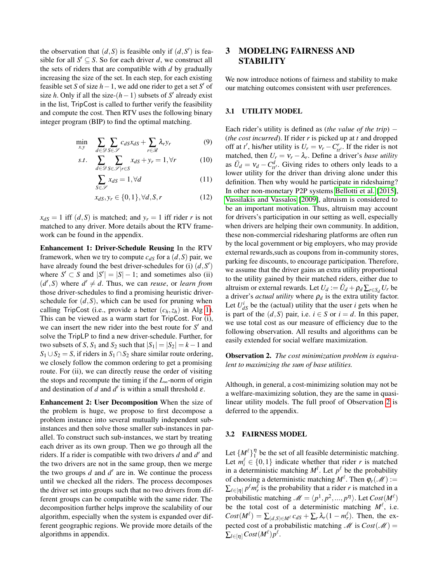the observation that  $(d, S)$  is feasible only if  $(d, S')$  is feasible for all  $S' \subseteq S$ . So for each driver *d*, we construct all the sets of riders that are compatible with *d* by gradually increasing the size of the set. In each step, for each existing feasible set *S* of size  $h-1$ , we add one rider to get a set *S*<sup> $\prime$ </sup> of size *h*. Only if all the size- $(h-1)$  subsets of *S'* already exist in the list, TripCost is called to further verify the feasibility and compute the cost. Then RTV uses the following binary integer program (BIP) to find the optimal matching.

$$
\min_{x,y} \quad \sum_{d \in \mathcal{D}} \sum_{S \in \mathcal{S}} c_{dS} x_{dS} + \sum_{r \in \mathcal{R}} \lambda_r y_r \tag{9}
$$

$$
s.t. \sum_{d \in \mathcal{D}} \sum_{S \in \mathcal{S} \mid r \in S} x_{dS} + y_r = 1, \forall r \tag{10}
$$

$$
\sum_{S \in \mathcal{S}} x_{dS} = 1, \forall d \tag{11}
$$

$$
x_{dS}, y_r \in \{0, 1\}, \forall d, S, r \tag{12}
$$

 $x_{dS} = 1$  iff  $(d, S)$  is matched; and  $y_r = 1$  iff rider *r* is not matched to any driver. More details about the RTV framework can be found in the appendix.

Enhancement 1: Driver-Schedule Reusing In the RTV framework, when we try to compute  $c_{dS}$  for a  $(d, S)$  pair, we have already found the best driver-schedules for (i)  $(d, S')$ where  $S' \subset S$  and  $|S'| = |S| - 1$ ; and sometimes also (ii)  $(d', S)$  where  $d' \neq d$ . Thus, we can *reuse*, or *learn from* those driver-schedules to find a promising heuristic driverschedule for  $(d, S)$ , which can be used for pruning when calling TripCost (i.e., provide a better  $(c_h, z_h)$  in Alg [1\)](#page-2-1). This can be viewed as a warm start for TripCost. For (i), we can insert the new rider into the best route for  $S'$  and solve the TripLP to find a new driver-schedule. Further, for two subsets of *S*,  $S_1$  and  $S_2$  such that  $|S_1| = |S_2| = k - 1$  and *S*<sub>1</sub> ∪ *S*<sub>2</sub> = *S*, if riders in *S*<sub>1</sub> ∩ *S*<sub>2</sub> share similar route ordering, we closely follow the common ordering to get a promising route. For (ii), we can directly reuse the order of visiting the stops and recompute the timing if the *L*∞-norm of origin and destination of *d* and  $d'$  is within a small threshold  $\varepsilon$ .

Enhancement 2: User Decomposition When the size of the problem is huge, we propose to first decompose a problem instance into several mutually independent subinstances and then solve those smaller sub-instances in parallel. To construct such sub-instances, we start by treating each driver as its own group. Then we go through all the riders. If a rider is compatible with two drivers  $d$  and  $d'$  and the two drivers are not in the same group, then we merge the two groups  $d$  and  $d'$  are in. We continue the process until we checked all the riders. The process decomposes the driver set into groups such that no two drivers from different groups can be compatible with the same rider. The decomposition further helps improve the scalability of our algorithm, especially when the system is expanded over different geographic regions. We provide more details of the algorithms in appendix.

## 3 MODELING FAIRNESS AND **STABILITY**

We now introduce notions of fairness and stability to make our matching outcomes consistent with user preferences.

### 3.1 UTILITY MODEL

<span id="page-3-2"></span><span id="page-3-1"></span>Each rider's utility is defined as (*the value of the trip*) − (*the cost incurred*). If rider *r* is picked up at *t* and dropped off at *t'*, his/her utility is  $U_r = V_r - C_{tt'}^r$ . If the rider is not matched, then  $U_r = V_r - \lambda_r$ . Define a driver's *base utility* as  $\bar{U}_d = V_d - C_{tt'}^d$ . Giving rides to others only leads to a lower utility for the driver than driving alone under this definition. Then why would he participate in rideshairng? In other non-monetary P2P systems [Bellotti et al.](#page-9-8) [\[2015\]](#page-9-8), [Vassilakis and Vassalos](#page-10-13) [\[2009\]](#page-10-13), altruism is considered to be an important motivation. Thus, altruism may account for drivers's participation in our setting as well, especially when drivers are helping their own community. In addition, these non-commercial ridesharing platforms are often run by the local government or big employers, who may provide external rewards,such as coupons from in-community stores, parking fee discounts, to encourage participation. Therefore, we assume that the driver gains an extra utility proportional to the utility gained by their matched riders, either due to altruism or external rewards. Let  $U_d := \bar{U}_d + \rho_d \sum_{r \in S_d} U_r$  be a driver's *actual utility* where  $\rho_d$  is the extra utility factor. Let  $U_{dS}^i$  be the (actual) utility that the user *i* gets when he is part of the  $(d, S)$  pair, i.e.  $i \in S$  or  $i = d$ . In this paper, we use total cost as our measure of efficiency due to the following observation. All results and algorithms can be easily extended for social welfare maximization.

<span id="page-3-0"></span>Observation 2. *The cost minimization problem is equivalent to maximizing the sum of base utilities.*

Although, in general, a cost-minimizing solution may not be a welfare-maximizing solution, they are the same in quasilinear utility models. The full proof of Observation [2](#page-3-0) is deferred to the appendix.

### 3.2 FAIRNESS MODEL

Let  $\{M^{\ell}\}_1^{\eta}$  be the set of all feasible deterministic matching. Let  $m_i^{\ell} \in \{0,1\}$  indicate whether that rider *r* is matched in a deterministic matching  $M^l$ . Let  $p^l$  be the probability of choosing a deterministic matching  $M^{\ell}$ . Then  $\varphi_r(\mathcal{M}) :=$  $\sum_{\ell \in [\eta]} p^{\ell} m_r^{\ell}$  is the probability that a rider *r* is matched in a probabilistic matching  $\mathscr{M} = \langle p^1, p^2, ..., p^n \rangle$ . Let  $Cost(M^{\ell})$ be the total cost of a deterministic matching  $M^{\ell}$ , i.e.  $Cost(M^{\ell}) = \sum_{(d,S) \in M^{\ell}} c_{dS} + \sum_{r} \lambda_{r} (1 - m_{r}^{\ell})$ . Then, the expected cost of a probabilistic matching  $\mathcal{M}$  is  $Cost(\mathcal{M}) =$  $\sum_{l \in [\eta]} Cost(M^{\ell}) p^{\ell}.$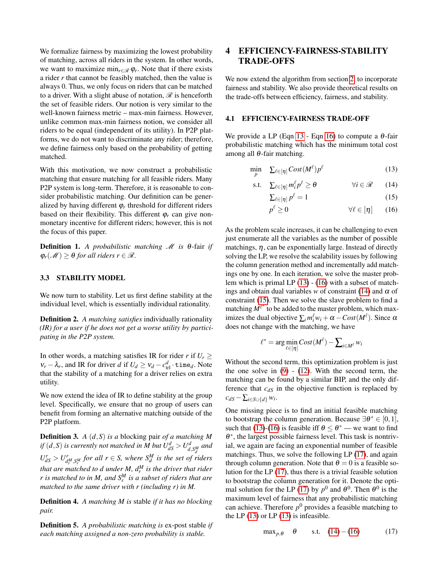We formalize fairness by maximizing the lowest probability of matching, across all riders in the system. In other words, we want to maximize min<sub>*r*∈ $\mathcal{R}$ </sub>  $\varphi$ <sub>*r*</sub>. Note that if there exists a rider *r* that cannot be feasibly matched, then the value is always 0. Thus, we only focus on riders that can be matched to a driver. With a slight abuse of notation,  $\mathscr R$  is henceforth the set of feasible riders. Our notion is very similar to the well-known fairness metric – max-min fairness. However, unlike common max-min fairness notion, we consider all riders to be equal (independent of its utility). In P2P platforms, we do not want to discriminate any rider; therefore, we define fairness only based on the probability of getting matched.

With this motivation, we now construct a probabilistic matching that ensure matching for all feasible riders. Many P2P system is long-term. Therefore, it is reasonable to consider probabilistic matching. Our definition can be generalized by having different  $\varphi_r$  threshold for different riders based on their flexibility. This different  $\varphi_r$  can give nonmonetary incentive for different riders; however, this is not the focus of this paper.

**Definition 1.** A probabilistic matching  $\mathcal{M}$  is  $\theta$ -fair if  $\varphi_r(\mathcal{M}) \geq \theta$  *for all riders*  $r \in \mathcal{R}$ *.* 

### 3.3 STABILITY MODEL

We now turn to stability. Let us first define stability at the individual level, which is essentially individual rationality.

Definition 2. *A matching satisfies* individually rationality *(IR) for a user if he does not get a worse utility by participating in the P2P system.*

In other words, a matching satisfies IR for rider *r* if  $U_r \geq$  $v_r - \lambda_r$ , and IR for driver *d* if  $U_d \ge v_d - c_{\text{trl}}^d \cdot \text{time}_d$ . Note that the stability of a matching for a driver relies on extra utility.

We now extend the idea of IR to define stability at the group level. Specifically, we ensure that no group of users can benefit from forming an alternative matching outside of the P2P platform.

Definition 3. *A* (*d*,*S*) *is a* blocking pair *of a matching M if*  $(d, S)$  *is currently not matched in M but*  $U_{dS}^d > U_d^d$  $\int_{d,\mathit{S}_{d}^{M}}^{d}$  and  $U_{dS}^r > U_{d_r^M, S_r^M}^r$  *for all*  $r \in S$ *, where*  $S_d^M$  *is the set of riders that are matched to*  $d$  *under*  $M$ *,*  $d_r^M$  *is the driver that rider*  $r$  *is matched to in M, and*  $S_r^M$  *is a subset of riders that are matched to the same driver with r (including r) in M.*

Definition 4. *A matching M is* stable *if it has no blocking pair.*

Definition 5. *A probabilistic matching is* ex-post stable *if each matching assigned a non-zero probability is stable.*

## 4 EFFICIENCY-FAIRNESS-STABILITY TRADE-OFFS

We now extend the algorithm from section [2,](#page-1-1) to incorporate fairness and stability. We also provide theoretical results on the trade-offs between efficiency, fairness, and stability.

#### 4.1 EFFICIENCY-FAIRNESS TRADE-OFF

We provide a LP (Eqn [13](#page-4-0) - Eqn [16\)](#page-4-1) to compute a  $\theta$ -fair probabilistic matching which has the minimum total cost among all  $θ$ -fair matching.

$$
\min_{p} \quad \sum_{\ell \in [\eta]} Cost(M^{\ell}) p^{\ell} \tag{13}
$$

$$
\text{s.t.} \quad \sum_{\ell \in [\eta]} m_i^{\ell} p^{\ell} \ge \theta \qquad \qquad \forall i \in \mathcal{R} \qquad (14)
$$

<span id="page-4-3"></span><span id="page-4-2"></span><span id="page-4-1"></span><span id="page-4-0"></span>
$$
\sum_{\ell \in [\eta]} p^{\ell} = 1 \tag{15}
$$

$$
p^{\ell} \ge 0 \qquad \qquad \forall \ell \in [\eta] \qquad (16)
$$

As the problem scale increases, it can be challenging to even just enumerate all the variables as the number of possible matchings,  $\eta$ , can be exponentially large. Instead of directly solving the LP, we resolve the scalability issues by following the column generation method and incrementally add matchings one by one. In each iteration, we solve the master problem which is primal LP [\(13\)](#page-4-0) - [\(16\)](#page-4-1) with a subset of matchings and obtain dual variables *w* of constraint [\(14\)](#page-4-2) and  $\alpha$  of constraint [\(15\)](#page-4-3). Then we solve the slave problem to find a matching  $M^{\ell^*}$  to be added to the master problem, which maximizes the dual objective  $\sum_i m_i^{\ell} w_i + \alpha - Cost(M^{\ell})$ . Since  $\alpha$ does not change with the matching, we have

$$
\ell^* = \arg\min_{\ell \in [\eta]} Cost(M^{\ell}) - \sum_{i \in M^{\ell}} w_i
$$

Without the second term, this optimization problem is just the one solve in  $(9)$  -  $(12)$ . With the second term, the matching can be found by a similar BIP, and the only difference that *cdS* in the objective function is replaced by  $c_{dS}$  −  $\sum_{i \in S \cup \{d\}} w_i$ .

One missing piece is to find an initial feasible matching to bootstrap the column generation. Because  $\exists \theta^* \in [0,1]$ , such that [\(13\)](#page-4-0)-[\(16\)](#page-4-1) is feasible iff  $\theta \le \theta^*$  — we want to find θ ∗ , the largest possible fairness level. This task is nontrivial, we again are facing an exponential number of feasible matchings. Thus, we solve the following LP [\(17\)](#page-4-4), and again through column generation. Note that  $\theta = 0$  is a feasible solution for the LP [\(17\)](#page-4-4), thus there is a trivial feasible solution to bootstrap the column generation for it. Denote the opti-mal solution for the LP [\(17\)](#page-4-4) by  $p^0$  and  $\theta^0$ . Then  $\theta^0$  is the maximum level of fairness that any probabilistic matching can achieve. Therefore  $p^0$  provides a feasible matching to the LP  $(13)$  or LP  $(13)$  is infeasible.

<span id="page-4-4"></span>
$$
\max_{p,\theta} \quad \theta \qquad \text{s.t.} \quad (14)-(16) \tag{17}
$$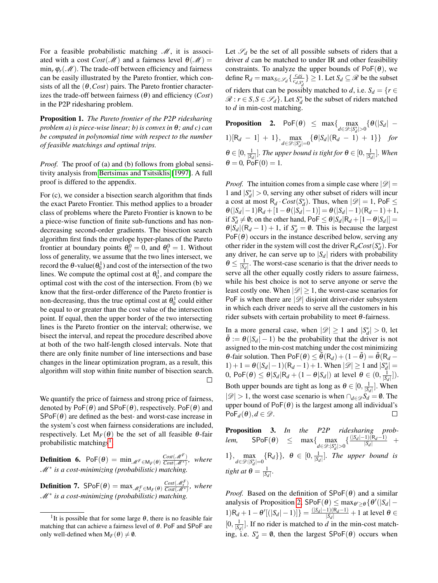For a feasible probabilistic matching  $\mathcal{M}$ , it is associated with a cost  $Cost(\mathcal{M})$  and a fairness level  $\theta(\mathcal{M}) =$  $\min_r \varphi_r(\mathcal{M})$ . The trade-off between efficiency and fairness can be easily illustrated by the Pareto frontier, which consists of all the  $(\theta, Cost)$  pairs. The Pareto frontier characterizes the trade-off between fairness  $(\theta)$  and efficiency (*Cost*) in the P2P ridesharing problem.

Proposition 1. *The Pareto frontier of the P2P ridesharing problem a) is piece-wise linear; b) is convex in* θ*; and c) can be computed in polynomial time with respect to the number of feasible matchings and optimal trips.*

*Proof.* The proof of (a) and (b) follows from global sensitivity analysis from [Bertsimas and Tsitsiklis](#page-9-9) [\[1997\]](#page-9-9). A full proof is differed to the appendix.

For (c), we consider a bisection search algorithm that finds the exact Pareto Frontier. This method applies to a broader class of problems where the Pareto Frontier is known to be a piece-wise function of finite sub-functions and has nondecreasing second-order gradients. The bisection search algorithm first finds the envelope hyper-planes of the Pareto frontier at boundary points  $\theta_0^0 = 0$ , and  $\theta_1^0 = 1$ . Without loss of generality, we assume that the two lines intersect, we record the  $\theta$ -value( $\theta_0$ <sup>1</sup>) and cost of the intersection of the two lines. We compute the optimal cost at  $\theta_0^1$ , and compare the optimal cost with the cost of the intersection. From (b) we know that the first-order difference of the Pareto frontier is non-decreasing, thus the true optimal cost at  $\theta_0^1$  could either be equal to or greater than the cost value of the intersection point. If equal, then the upper border of the two intersecting lines is the Pareto frontier on the interval; otherwise, we bisect the interval, and repeat the procedure described above at both of the two half-length closed intervals. Note that there are only finite number of line intersections and base changes in the linear optimization program, as a result, this algorithm will stop within finite number of bisection search.  $\Box$ 

We quantify the price of fairness and strong price of fairness, denoted by  $PoF(\theta)$  and  $SPoF(\theta)$ , respectively.  $PoF(\theta)$  and  $SPoF(\theta)$  are defined as the best- and worst-case increase in the system's cost when fairness considerations are included, respectively. Let  $M_F(\theta)$  be the set of all feasible  $\theta$ -fair probabilistic matchings<sup>[1](#page-5-0)</sup>.

**Definition 6.** PoF( $\theta$ ) = min  $\mathcal{M}^F \in M_F(\theta)$   $\frac{Cost(\mathcal{M}^F)}{Cost(\mathcal{M}^*)}$  $\frac{Cost(\mathcal{M}^*)}{Cost(\mathcal{M}^*)}$ , where M<sup>∗</sup> *is a cost-minimizing (probabilistic) matching.*

**Definition 7.**  $\mathsf{SPoF}(\theta) = \max_{\mathscr{M}_{\mathcal{S}}^F \in \mathsf{M}_F(\theta)}$  $\frac{Cost(\mathcal{M}^F_s)}{Cost(\mathcal{M}^*)}$ *, where* M<sup>∗</sup> *is a cost-minimizing (probabilistic) matching.*

Let  $\mathscr{S}_d$  be the set of all possible subsets of riders that a driver *d* can be matched to under IR and other feasibility constraints. To analyze the upper bounds of  $PoF(\theta)$ , we define  $R_d = \max_{S \in \mathscr{S}_d} \left\{ \frac{c_{dS}}{c_d s} \right\}$  $\left\{\frac{c_{dS}}{c_{d,S_d^*}}\right\} \geq 1$ . Let  $S_d \subseteq \mathcal{R}$  be the subset of riders that can be possibly matched to *d*, i.e.  $S_d = \{r \in$  $\mathcal{R}: r \in S, S \in \mathcal{S}_d$ . Let  $S_d^*$  be the subset of riders matched to *d* in min-cost matching.

<span id="page-5-1"></span>**Proposition 2.** PoF( $\theta$ )  $\leq$  max $\left\{\max_{d \in \mathscr{D}: |S_d^*| > 0} \{\theta(|S_d| - \theta)\}\right\}$  $1)[R_d - 1] + 1$ ,  $\max_{d \in \mathcal{D}: |S_d^*| = 0} {\{\theta |S_d | (R_d - 1) + 1\}}$  *for*  $\theta \in [0, \frac{1}{|S_d|}]$ . The upper bound is tight for  $\theta \in [0, \frac{1}{|S_d|}]$ . When  $\theta = 0$ , PoF $(0) = 1$ .

*Proof.* The intuition comes from a simple case where  $|\mathscr{D}| =$ 1 and  $|S_d^*| > 0$ , serving any other subset of riders will incur a cost at most  $R_d \cdot Cost(S_d^*)$ . Thus, when  $|\mathscr{D}| = 1$ , PoF  $\leq$  $\theta(|S_d|-1)R_d + [1-\theta(|S_d|-1)] = \theta(|S_d|-1)(R_d-1)+1,$ if  $S_d^* \neq \emptyset$ ; on the other hand, PoF  $\leq \theta |S_d| R_d + [1 - \theta |S_d|] =$  $\theta|\tilde{S_d}|(R_d-1)+1$ , if  $S_d^* = \emptyset$ . This is because the largest  $PoF(\theta)$  occurs in the instance described below, serving any other rider in the system will cost the driver  $R_dCost(S_d^*)$ . For any driver, he can serve up to  $|S_d|$  riders with probability  $\theta \le \frac{1}{|S_d|}$ . The worst-case scenario is that the driver needs to serve all the other equally costly riders to assure fairness, while his best choice is not to serve anyone or serve the least costly one. When  $|\mathcal{D}| \geq 1$ , the worst-case scenarios for PoF is when there are  $|\mathcal{D}|$  disjoint driver-rider subsystem in which each driver needs to serve all the customers in his rider subsets with certain probability to meet  $\theta$ -fairness.

In a more general case, when  $|\mathcal{D}| \ge 1$  and  $|S_d^*| > 0$ , let  $\tilde{\theta}$  :=  $\theta(|S_d|-1)$  be the probability that the driver is not assigned to the min-cost matching under the cost minimizing  $\theta$ -fair solution. Then PoF( $\theta$ )  $\leq \tilde{\theta}(R_d)+(1-\tilde{\theta})=\tilde{\theta}(R_d-\theta)$  $1) + 1 = θ(|S_d| − 1)(R_d − 1) + 1$ . When  $|\mathcal{D}| ≥ 1$  and  $|S_d^*| =$ 0,  $\text{PoF}(\theta) \leq \theta |S_d| R_d + (1 - \theta |S_d|)$  at level  $\theta \in (0, \frac{1}{|S_d|}])$ . Both upper bounds are tight as long as  $\theta \in [0, \frac{1}{|S_d|}]$ . When  $|\mathcal{D}|$  > 1, the worst case scenario is when ∩<sub>*d*∈ $\mathcal{D}S_d = \emptyset$ . The</sub> upper bound of  $PoF(\theta)$  is the largest among all individual's  $\mathsf{PoF}_d(\theta), d \in \mathscr{D}$ .  $\Box$ 

<span id="page-5-2"></span>Proposition 3. *In the P2P ridesharing problem,*  $\text{SPoF}(\theta) \leq \max\{\max_{d \in \mathcal{D}: |S_d^*| > 0} \{\frac{(|S_d| - 1)(R_d - 1)}{|S_d|}\}$  $\frac{|S_d|}{|S_d|}$  + 1},  $\max_{d \in \mathcal{D}: |S_d^*| = 0} \{R_d\}$ ,  $\theta \in [0, \frac{1}{|S_d|}]$ . The upper bound is *tight at*  $\theta = \frac{1}{|S_d|}$ .

*Proof.* Based on the definition of  $SPoF(\theta)$  and a similar analysis of Proposition [2,](#page-5-1)  $SPoF(\theta) \leq \max_{\theta' \geq \theta} {\{\theta'(|S_d| - \theta')\}}$  $\{1\}R_d + 1 - \theta'[(|S_d| - 1)]\} = \frac{(|S_d| - 1)(R_d - 1)}{|S_d|}$  $\frac{|S_d|}{|S_d|}$  + 1 at level  $\theta \in$  $[0, \frac{1}{|S_d|}]$ . If no rider is matched to *d* in the min-cost matching, i.e.  $S_d^* = \emptyset$ , then the largest  $SPoF(\theta)$  occurs when

<span id="page-5-0"></span><sup>&</sup>lt;sup>1</sup>It is possible that for some large  $\theta$ , there is no feasible fair matching that can achieve a fairness level of  $\theta$ . PoF and SPoF are only well-defined when  $M_F(\theta) \neq \emptyset$ .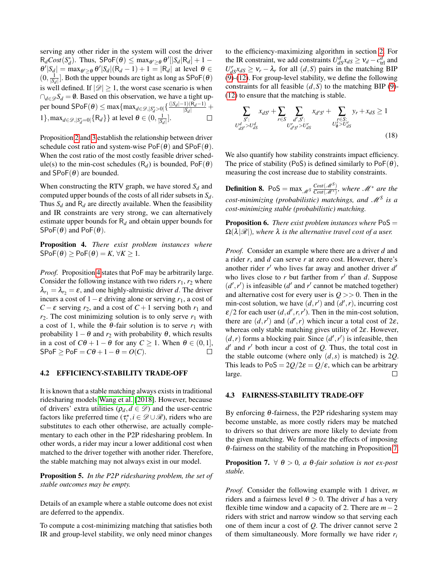serving any other rider in the system will cost the driver  $R_dCost(S_d^*)$ . Thus,  $SPoF(\theta) \leq \max_{\theta' \geq \theta} \theta' [|S_d | R_d] + 1 - \theta$  $\theta' |S_d| = \max_{\theta' \geq \theta} \theta' |S_d| (R_d - 1) + 1 = |R_d|$  at level  $\theta \in$  $(0, \frac{1}{|S_d|})$ . Both the upper bounds are tight as long as  $\textsf{SPoF}(\theta)$ is well defined. If  $|\mathcal{D}| \geq 1$ , the worst case scenario is when  $∩<sub>d∈</sub> g S<sub>d</sub> = ∅$ . Based on this observation, we have a tight upper bound  $\textsf{SPoF}(\theta) \le \max\{\max_{d \in \mathcal{D}, |S_d^* \ge 0|} \{\frac{(|S_d| - 1)(R_d - 1)}{|S_d|}\}$  $\frac{|S_1| (R_d - 1)}{|S_d|}$  +  $1$ }, max<sub>*d*∈ $\mathcal{D},$ | $S_d^*$ =0|</sub>{R*d*}} at level  $\theta \in (0, \frac{1}{|S_d|}]$ .  $\Box$ 

Proposition [2](#page-5-1) and [3](#page-5-2) establish the relationship between driver schedule cost ratio and system-wise  $PoF(\theta)$  and  $SPoF(\theta)$ . When the cost ratio of the most costly feasible driver schedule(s) to the min-cost schedules ( $R_d$ ) is bounded,  $PoF(\theta)$ and  $SPoF(\theta)$  are bounded.

When constructing the RTV graph, we have stored  $S_d$  and computed upper bounds of the costs of all rider subsets in *Sd*. Thus  $S_d$  and  $R_d$  are directly available. When the feasibility and IR constraints are very strong, we can alternatively estimate upper bounds for R*<sup>d</sup>* and obtain upper bounds for  $SPoF(\theta)$  and  $PoF(\theta)$ .

<span id="page-6-0"></span>Proposition 4. *There exist problem instances where*  $S\text{PoF}(\theta) \geq \text{PoF}(\theta) = K, \forall K \geq 1.$ 

*Proof.* Proposition [4](#page-6-0) states that PoF may be arbitrarily large. Consider the following instance with two riders  $r_1$ ,  $r_2$  where  $\lambda_{r_1} = \lambda_{r_2} = \varepsilon$ , and one highly-altruistic driver *d*. The driver incurs a cost of  $1 - \varepsilon$  driving alone or serving  $r_1$ , a cost of *C* −  $\varepsilon$  serving  $r_2$ , and a cost of *C* + 1 serving both  $r_1$  and  $r_2$ . The cost minimizing solution is to only serve  $r_1$  with a cost of 1, while the  $\theta$ -fair solution is to serve  $r_1$  with probability  $1 - \theta$  and  $r_2$  with probability  $\theta$ , which results in a cost of  $C\theta + 1 - \theta$  for any  $C \ge 1$ . When  $\theta \in (0,1]$ ,  $S\text{PoF} > \text{PoF} = C\theta + 1 - \theta = O(C)$ .  $\Box$ 

### 4.2 EFFICIENCY-STABILITY TRADE-OFF

It is known that a stable matching always exists in traditional ridesharing models [Wang et al.](#page-10-12) [\[2018\]](#page-10-12). However, because of drivers' extra utilities ( $\rho_d$ ,  $d \in \mathcal{D}$ ) and the user-centric factors like preferred time ( $\tau_i^*$ ,  $i \in \mathcal{D} \cup \mathcal{R}$ ), riders who are substitutes to each other otherwise, are actually complementary to each other in the P2P ridesharing problem. In other words, a rider may incur a lower additional cost when matched to the driver together with another rider. Therefore, the stable matching may not always exist in our model.

Proposition 5. *In the P2P ridesharing problem, the set of stable outcomes may be empty.*

Details of an example where a stable outcome does not exist are deferred to the appendix.

To compute a cost-minimizing matching that satisfies both IR and group-level stability, we only need minor changes

to the efficiency-maximizing algorithm in section [2.](#page-1-1) For the IR constraint, we add constraints  $U_{dS}^d x_{dS} \geq v_d - c_{\text{trl}}^d$  and  $U_{dS}^r x_{dS} \geq v_r - \lambda_r$  for all  $(d, S)$  pairs in the matching BIP [\(9\)](#page-3-1)-[\(12\)](#page-3-2). For group-level stability, we define the following constraints for all feasible  $(d, S)$  to the matching BIP [\(9\)](#page-3-1)-[\(12\)](#page-3-2) to ensure that the matching is stable.

$$
\sum_{\substack{S':\\U_{dS'}^d > U_{dS}^d}} x_{dS'} + \sum_{r \in S} \sum_{\substack{d',S':\\U_{d'S'}^r > U_{dS}^r}} x_{d'S'} + \sum_{\substack{r \in S:\\U_0^r > U_{dS}^r}} y_r + x_{dS} \ge 1
$$
\n(18)

We also quantify how stability constraints impact efficiency. The price of stability (PoS) is defined similarly to  $PoF(\theta)$ , measuring the cost increase due to stability constraints.

**Definition 8.** PoS =  $\max_{\mathcal{M}^S} \frac{Cost(\mathcal{M}^S)}{Cost(\mathcal{M}^*)}$ , where  $\mathcal{M}^*$  are the *cost-minimizing (probabilistic) matchings, and* M*<sup>S</sup> is a cost-minimizing stable (probabilistic) matching.*

Proposition 6. *There exist problem instances where* PoS =  $\Omega(\lambda|\mathcal{R}|)$ *, where*  $\lambda$  *is the alternative travel cost of a user.* 

*Proof.* Consider an example where there are a driver *d* and a rider *r*, and *d* can serve *r* at zero cost. However, there's another rider  $r'$  who lives far away and another driver  $d'$ who lives close to  $r$  but farther from  $r'$  than  $d$ . Suppose  $(d', r')$  is infeasible  $(d'$  and  $r'$  cannot be matched together) and alternative cost for every user is  $Q \gg 0$ . Then in the min-cost solution, we have  $(d, r')$  and  $(d', r)$ , incurring cost  $\varepsilon/2$  for each user  $(d, d', r, r')$ . Then in the min-cost solution, there are  $(d, r')$  and  $(d', r)$  which incur a total cost of 2 $\varepsilon$ , whereas only stable matching gives utility of  $2\varepsilon$ . However,  $(d, r)$  forms a blocking pair. Since  $(d', r')$  is infeasible, then  $d'$  and  $r'$  both incur a cost of  $Q$ . Thus, the total cost in the stable outcome (where only  $(d, s)$  is matched) is 2*Q*. This leads to  $PoS = 2Q/2\varepsilon = Q/\varepsilon$ , which can be arbitrary large.  $\Box$ 

#### 4.3 FAIRNESS-STABILITY TRADE-OFF

By enforcing  $\theta$ -fairness, the P2P ridesharing system may become unstable, as more costly riders may be matched to drivers so that drivers are more likely to deviate from the given matching. We formalize the effects of imposing θ-fairness on the stability of the matching in Proposition [7.](#page-6-1)

<span id="page-6-1"></span>**Proposition 7.**  $\forall \theta > 0$ , a  $\theta$ -fair solution is not ex-post *stable.*

*Proof.* Consider the following example with 1 driver, *m* riders and a fairness level  $\theta > 0$ . The driver *d* has a very flexible time window and a capacity of 2. There are *m*−2 riders with strict and narrow window so that serving each one of them incur a cost of *Q*. The driver cannot serve 2 of them simultaneously. More formally we have rider *r<sup>i</sup>*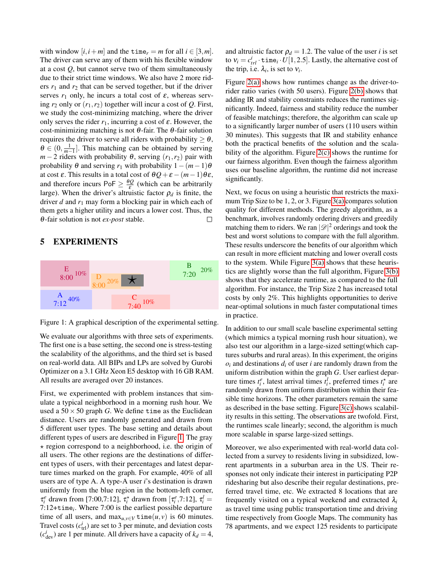with window  $[i, i+m]$  and the time<sub>r</sub> = *m* for all  $i \in [3, m]$ . The driver can serve any of them with his flexible window at a cost *Q*, but cannot serve two of them simultaneously due to their strict time windows. We also have 2 more riders  $r_1$  and  $r_2$  that can be served together, but if the driver serves  $r_1$  only, he incurs a total cost of  $\varepsilon$ , whereas serving  $r_2$  only or  $(r_1, r_2)$  together will incur a cost of  $Q$ . First, we study the cost-minimizing matching, where the driver only serves the rider  $r_1$ , incurring a cost of  $\varepsilon$ . However, the cost-minimizing matching is not  $\theta$ -fair. The  $\theta$ -fair solution requires the driver to serve all riders with probability  $\geq \theta$ ,  $\theta \in (0, \frac{1}{m-1}]$ . This matching can be obtained by serving *m* − 2 riders with probability  $\theta$ , serving  $(r_1, r_2)$  pair with probability  $\theta$  and serving  $r_1$  with probability  $1-(m-1)\theta$ at cost  $\varepsilon$ . This results in a total cost of  $\theta Q + \varepsilon - (m-1)\theta \varepsilon$ , and therefore incurs  $\text{PoF} \geq \frac{\theta Q}{\varepsilon}$  (which can be arbitrarily large). When the driver's altruistic factor  $\rho_d$  is finite, the driver *d* and *r*<sup>1</sup> may form a blocking pair in which each of them gets a higher utility and incurs a lower cost. Thus, the θ-fair solution is not *ex-post* stable. П

### 5 EXPERIMENTS

<span id="page-7-0"></span>

Figure 1: A graphical description of the experimental setting.

We evaluate our algorithms with three sets of experiments. The first one is a base setting, the second one is stress-testing the scalability of the algorithms, and the third set is based on real-world data. All BIPs and LPs are solved by Gurobi Optimizer on a 3.1 GHz Xeon E5 desktop with 16 GB RAM. All results are averaged over 20 instances.

First, we experimented with problem instances that simulate a typical neighborhood in a morning rush hour. We used a  $50 \times 50$  graph *G*. We define time as the Euclidean distance. Users are randomly generated and drawn from 5 different user types. The base setting and details about different types of users are described in Figure [1.](#page-7-0) The gray  $\star$  region correspond to a neighborhood, i.e. the origin of all users. The other regions are the destinations of different types of users, with their percentages and latest departure times marked on the graph. For example, 40% of all users are of type A. A type-A user *i*'s destination is drawn uniformly from the blue region in the bottom-left corner,  $\tau_i^e$  drawn from [7:00,7:12],  $\tau_i^*$  drawn from [ $\tau_i^e$ ,7:12],  $\tau_i^l$  = 7:12+time*<sup>i</sup>* . Where 7:00 is the earliest possible departure time of all users, and  $\max_{u,v \in V} \text{time}(u, v)$  is 60 minutes. Travel costs  $(c_{\text{trl}}^i)$  are set to 3 per minute, and deviation costs  $(c<sub>dev</sub><sup>i</sup>)$  are 1 per minute. All drivers have a capacity of  $k_d = 4$ ,

and altruistic factor  $\rho_d = 1.2$ . The value of the user *i* is set to  $v_i = c_{tri}^i \cdot \text{time}_i \cdot U[1, 2.5]$ . Lastly, the alternative cost of the trip, i.e.  $\lambda_i$ , is set to  $v_i$ .

Figure [2\(a\)](#page-8-0) shows how runtimes change as the driver-torider ratio varies (with 50 users). Figure [2\(b\)](#page-8-1) shows that adding IR and stability constraints reduces the runtimes significantly. Indeed, fairness and stability reduce the number of feasible matchings; therefore, the algorithm can scale up to a significantly larger number of users (110 users within 30 minutes). This suggests that IR and stability enhance both the practical benefits of the solution and the scalability of the algorithm. Figure [2\(c\)](#page-8-2) shows the runtime for our fairness algorithm. Even though the fairness algorithm uses our baseline algorithm, the runtime did not increase significantly.

Next, we focus on using a heuristic that restricts the maximum Trip Size to be 1, 2, or 3. Figure [3\(a\)](#page-8-3) compares solution quality for different methods. The greedy algorithm, as a benchmark, involves randomly ordering drivers and greedily matching them to riders. We ran  $|\mathscr{D}|^2$  orderings and took the best and worst solutions to compare with the full algorithm. These results underscore the benefits of our algorithm which can result in more efficient matching and lower overall costs to the system. While Figure [3\(a\)](#page-8-3) shows that these heuristics are slightly worse than the full algorithm, Figure [3\(b\)](#page-8-4) shows that they accelerate runtime, as compared to the full algorithm. For instance, the Trip Size 2 has increased total costs by only 2%. This highlights opportunities to derive near-optimal solutions in much faster computational times in practice.

In addition to our small scale baseline experimental setting (which mimics a typical morning rush hour situation), we also test our algorithm in a large-sized setting(which captures suburbs and rural areas). In this experiment, the origins  $o_i$  and destinations  $d_i$  of user *i* are randomly drawn from the uniform distribution within the graph *G*. User earliest departure times  $t_i^e$ , latest arrival times  $t_i^l$ , preferred times  $t_i^*$  are randomly drawn from uniform distribution within their feasible time horizons. The other parameters remain the same as described in the base setting. Figure [3\(c\)](#page-8-5) shows scalability results in this setting. The observations are twofold. First, the runtimes scale linearly; second, the algorithm is much more scalable in sparse large-sized settings.

Moreover, we also experimented with real-world data collected from a survey to residents living in subsidized, lowrent apartments in a suburban area in the US. Their responses not only indicate their interest in participating P2P ridesharing but also describe their regular destinations, preferred travel time, etc. We extracted 8 locations that are frequently visited on a typical weekend and extracted  $\lambda_i$ as travel time using public transportation time and driving time respectively from Google Maps. The community has 78 apartments, and we expect 125 residents to participate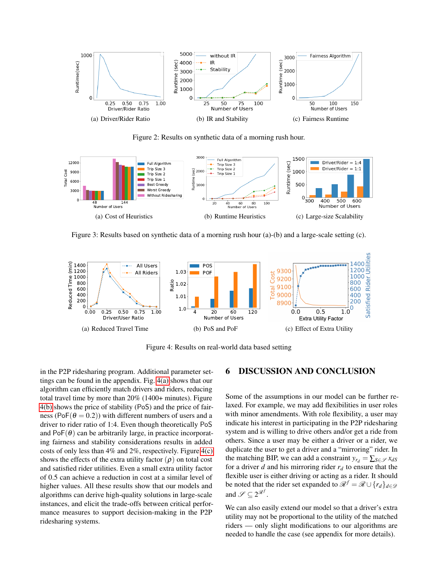<span id="page-8-0"></span>

<span id="page-8-5"></span><span id="page-8-4"></span><span id="page-8-2"></span><span id="page-8-1"></span>Figure 2: Results on synthetic data of a morning rush hour.

<span id="page-8-3"></span>

Figure 3: Results based on synthetic data of a morning rush hour (a)-(b) and a large-scale setting (c).

<span id="page-8-6"></span>

<span id="page-8-7"></span>Figure 4: Results on real-world data based setting

in the P2P ridesharing program. Additional parameter settings can be found in the appendix. Fig. [4\(a\)](#page-8-6) shows that our algorithm can efficiently match drivers and riders, reducing total travel time by more than 20% (1400+ minutes). Figure [4\(b\)](#page-8-7) shows the price of stability (PoS) and the price of fairness (PoF( $\theta = 0.2$ )) with different numbers of users and a driver to rider ratio of 1:4. Even though theoretically PoS and  $PoF(\theta)$  can be arbitrarily large, in practice incorporating fairness and stability considerations results in added costs of only less than  $4\%$  and  $2\%$ , respectively. Figure  $4(c)$ shows the effects of the extra utility factor  $(\rho)$  on total cost and satisfied rider utilities. Even a small extra utility factor of 0.5 can achieve a reduction in cost at a similar level of higher values. All these results show that our models and algorithms can derive high-quality solutions in large-scale instances, and elicit the trade-offs between critical performance measures to support decision-making in the P2P ridesharing systems.

### <span id="page-8-8"></span>6 DISCUSSION AND CONCLUSION

Some of the assumptions in our model can be further relaxed. For example, we may add flexibilities in user roles with minor amendments. With role flexibility, a user may indicate his interest in participating in the P2P ridesharing system and is willing to drive others and/or get a ride from others. Since a user may be either a driver or a rider, we duplicate the user to get a driver and a "mirroring" rider. In the matching BIP, we can add a constraint  $y_{r_d} = \sum_{S \in \mathcal{S}} x_{dS}$ for a driver *d* and his mirroring rider  $r_d$  to ensure that the flexible user is either driving or acting as a rider. It should be noted that the rider set expanded to  $\mathcal{R}^f = \mathcal{R} \cup \{r_d\}_{d \in \mathcal{D}}$ and  $\mathscr{S} \subseteq 2^{\mathscr{R}^f}$ .

We can also easily extend our model so that a driver's extra utility may not be proportional to the utility of the matched riders — only slight modifications to our algorithms are needed to handle the case (see appendix for more details).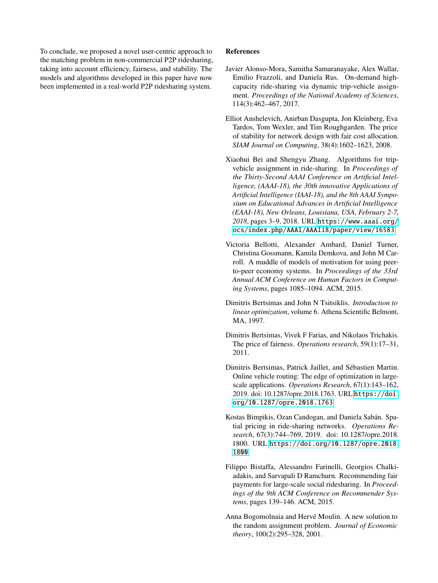To conclude, we proposed a novel user-centric approach to the matching problem in non-commercial P2P ridesharing, taking into account efficiency, fairness, and stability. The models and algorithms developed in this paper have now been implemented in a real-world P2P ridesharing system.

### References

- <span id="page-9-0"></span>Javier Alonso-Mora, Samitha Samaranayake, Alex Wallar, Emilio Frazzoli, and Daniela Rus. On-demand highcapacity ride-sharing via dynamic trip-vehicle assignment. *Proceedings of the National Academy of Sciences*, 114(3):462–467, 2017.
- <span id="page-9-7"></span>Elliot Anshelevich, Anirban Dasgupta, Jon Kleinberg, Eva Tardos, Tom Wexler, and Tim Roughgarden. The price of stability for network design with fair cost allocation. *SIAM Journal on Computing*, 38(4):1602–1623, 2008.
- <span id="page-9-2"></span>Xiaohui Bei and Shengyu Zhang. Algorithms for tripvehicle assignment in ride-sharing. In *Proceedings of the Thirty-Second AAAI Conference on Artificial Intelligence, (AAAI-18), the 30th innovative Applications of Artificial Intelligence (IAAI-18), and the 8th AAAI Symposium on Educational Advances in Artificial Intelligence (EAAI-18), New Orleans, Louisiana, USA, February 2-7, 2018*, pages 3–9, 2018. URL [https://www.aaai.org/](https://www.aaai.org/ocs/index.php/AAAI/AAAI18/paper/view/16583) [ocs/index.php/AAAI/AAAI18/paper/view/16583](https://www.aaai.org/ocs/index.php/AAAI/AAAI18/paper/view/16583).
- <span id="page-9-8"></span>Victoria Bellotti, Alexander Ambard, Daniel Turner, Christina Gossmann, Kamila Demkova, and John M Carroll. A muddle of models of motivation for using peerto-peer economy systems. In *Proceedings of the 33rd Annual ACM Conference on Human Factors in Computing Systems*, pages 1085–1094. ACM, 2015.
- <span id="page-9-9"></span>Dimitris Bertsimas and John N Tsitsiklis. *Introduction to linear optimization*, volume 6. Athena Scientific Belmont, MA, 1997.
- <span id="page-9-4"></span>Dimitris Bertsimas, Vivek F Farias, and Nikolaos Trichakis. The price of fairness. *Operations research*, 59(1):17–31, 2011.
- <span id="page-9-1"></span>Dimitris Bertsimas, Patrick Jaillet, and Sébastien Martin. Online vehicle routing: The edge of optimization in largescale applications. *Operations Research*, 67(1):143–162, 2019. doi: 10.1287/opre.2018.1763. URL [https://doi.](https://doi.org/10.1287/opre.2018.1763) [org/10.1287/opre.2018.1763](https://doi.org/10.1287/opre.2018.1763).
- <span id="page-9-3"></span>Kostas Bimpikis, Ozan Candogan, and Daniela Sabán. Spatial pricing in ride-sharing networks. *Operations Research*, 67(3):744–769, 2019. doi: 10.1287/opre.2018. 1800. URL [https://doi.org/10.1287/opre.2018.](https://doi.org/10.1287/opre.2018.1800) [1800](https://doi.org/10.1287/opre.2018.1800).
- <span id="page-9-6"></span>Filippo Bistaffa, Alessandro Farinelli, Georgios Chalkiadakis, and Sarvapali D Ramchurn. Recommending fair payments for large-scale social ridesharing. In *Proceedings of the 9th ACM Conference on Recommender Systems*, pages 139–146. ACM, 2015.
- <span id="page-9-5"></span>Anna Bogomolnaia and Hervé Moulin. A new solution to the random assignment problem. *Journal of Economic theory*, 100(2):295–328, 2001.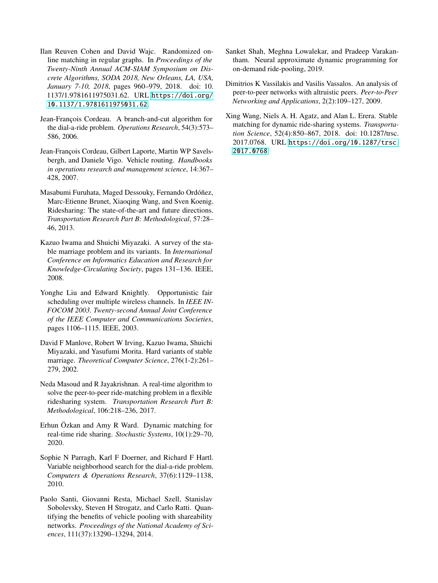- <span id="page-10-9"></span>Ilan Reuven Cohen and David Wajc. Randomized online matching in regular graphs. In *Proceedings of the Twenty-Ninth Annual ACM-SIAM Symposium on Discrete Algorithms, SODA 2018, New Orleans, LA, USA, January 7-10, 2018*, pages 960–979, 2018. doi: 10. 1137/1.9781611975031.62. URL [https://doi.org/](https://doi.org/10.1137/1.9781611975031.62) [10.1137/1.9781611975031.62](https://doi.org/10.1137/1.9781611975031.62).
- <span id="page-10-4"></span>Jean-François Cordeau. A branch-and-cut algorithm for the dial-a-ride problem. *Operations Research*, 54(3):573– 586, 2006.
- <span id="page-10-6"></span>Jean-François Cordeau, Gilbert Laporte, Martin WP Savelsbergh, and Daniele Vigo. Vehicle routing. *Handbooks in operations research and management science*, 14:367– 428, 2007.
- <span id="page-10-2"></span>Masabumi Furuhata, Maged Dessouky, Fernando Ordóñez, Marc-Etienne Brunet, Xiaoqing Wang, and Sven Koenig. Ridesharing: The state-of-the-art and future directions. *Transportation Research Part B: Methodological*, 57:28– 46, 2013.
- <span id="page-10-11"></span>Kazuo Iwama and Shuichi Miyazaki. A survey of the stable marriage problem and its variants. In *International Conference on Informatics Education and Research for Knowledge-Circulating Society*, pages 131–136. IEEE, 2008.
- <span id="page-10-8"></span>Yonghe Liu and Edward Knightly. Opportunistic fair scheduling over multiple wireless channels. In *IEEE IN-FOCOM 2003. Twenty-second Annual Joint Conference of the IEEE Computer and Communications Societies*, pages 1106–1115. IEEE, 2003.
- <span id="page-10-10"></span>David F Manlove, Robert W Irving, Kazuo Iwama, Shuichi Miyazaki, and Yasufumi Morita. Hard variants of stable marriage. *Theoretical Computer Science*, 276(1-2):261– 279, 2002.
- <span id="page-10-7"></span>Neda Masoud and R Jayakrishnan. A real-time algorithm to solve the peer-to-peer ride-matching problem in a flexible ridesharing system. *Transportation Research Part B: Methodological*, 106:218–236, 2017.
- <span id="page-10-0"></span>Erhun Özkan and Amy R Ward. Dynamic matching for real-time ride sharing. *Stochastic Systems*, 10(1):29–70, 2020.
- <span id="page-10-5"></span>Sophie N Parragh, Karl F Doerner, and Richard F Hartl. Variable neighborhood search for the dial-a-ride problem. *Computers & Operations Research*, 37(6):1129–1138, 2010.
- <span id="page-10-1"></span>Paolo Santi, Giovanni Resta, Michael Szell, Stanislav Sobolevsky, Steven H Strogatz, and Carlo Ratti. Quantifying the benefits of vehicle pooling with shareability networks. *Proceedings of the National Academy of Sciences*, 111(37):13290–13294, 2014.
- <span id="page-10-3"></span>Sanket Shah, Meghna Lowalekar, and Pradeep Varakantham. Neural approximate dynamic programming for on-demand ride-pooling, 2019.
- <span id="page-10-13"></span>Dimitrios K Vassilakis and Vasilis Vassalos. An analysis of peer-to-peer networks with altruistic peers. *Peer-to-Peer Networking and Applications*, 2(2):109–127, 2009.
- <span id="page-10-12"></span>Xing Wang, Niels A. H. Agatz, and Alan L. Erera. Stable matching for dynamic ride-sharing systems. *Transportation Science*, 52(4):850–867, 2018. doi: 10.1287/trsc. 2017.0768. URL [https://doi.org/10.1287/trsc.](https://doi.org/10.1287/trsc.2017.0768) [2017.0768](https://doi.org/10.1287/trsc.2017.0768).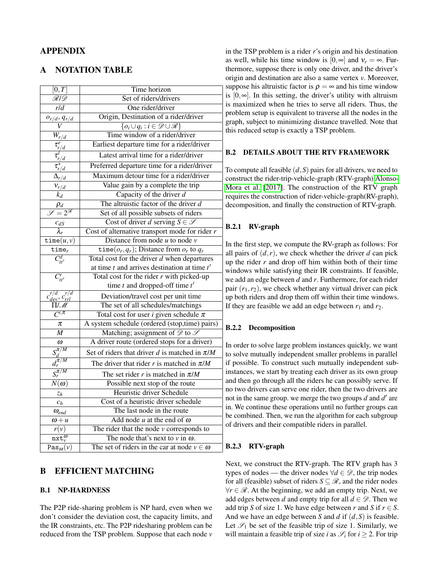# APPENDIX

## A NOTATION TABLE

| $\overline{[0,T]}$                           | Time horizon                                             |  |  |  |  |  |
|----------------------------------------------|----------------------------------------------------------|--|--|--|--|--|
| $\overline{\mathscr{R}$ l $\mathscr{D}$      | Set of riders/drivers                                    |  |  |  |  |  |
| r/d                                          | One rider/driver                                         |  |  |  |  |  |
| $o_{r/d}, q_{r/d}$                           | Origin, Destination of a rider/driver                    |  |  |  |  |  |
| V                                            | $\{o_i \cup q_i : i \in \mathscr{D} \cup \mathscr{R}\}\$ |  |  |  |  |  |
| $\bar W_{r/\underline d}$                    | Time window of a rider/driver                            |  |  |  |  |  |
| $\frac{\tau_{r/d}^e}{\tau_{r/d}^l}$          | Earliest departure time for a rider/driver               |  |  |  |  |  |
|                                              | Latest arrival time for a rider/driver                   |  |  |  |  |  |
| $\tau_{r/d}^{\star}$                         | Preferred departure time for a rider/driver              |  |  |  |  |  |
| $\Delta_{r/d}$                               | Maximum detour time for a rider/driver                   |  |  |  |  |  |
| $V_{r/d}$                                    | Value gain by a complete the trip                        |  |  |  |  |  |
| $k_d$                                        | Capacity of the driver $d$                               |  |  |  |  |  |
| $\rho_d$                                     | The altruistic factor of the driver $d$                  |  |  |  |  |  |
| $\overline{\mathscr{S}}=2^{\mathscr{R}}$     | Set of all possible subsets of riders                    |  |  |  |  |  |
| $c_{dS}$                                     | Cost of driver d serving $S \in \mathscr{S}$             |  |  |  |  |  |
| $\lambda_r$                                  | Cost of alternative transport mode for rider $r$         |  |  |  |  |  |
| $\tt time(u,v)$                              | Distance from node $u$ to node $v$                       |  |  |  |  |  |
| $time_r$                                     | time $(o_r, q_r)$ ; Distance from $o_r$ to $q_r$         |  |  |  |  |  |
| $\overline{C_{tt'}^d}$                       | Total cost for the driver $d$ when departures            |  |  |  |  |  |
|                                              | at time $t$ and arrives destination at time $t'$         |  |  |  |  |  |
| $\overline{C_{tt'}^r}$                       | Total cost for the rider $r$ with picked-up              |  |  |  |  |  |
|                                              | time $t$ and dropped-off time $t'$                       |  |  |  |  |  |
| $c_{\text{dev}}^{r/d}, c_{\text{trl}}^{r/d}$ | Deviation/travel cost per unit time                      |  |  |  |  |  |
| $\Pi/\overline{\mathscr{M}}$                 | The set of all schedules/matchings                       |  |  |  |  |  |
| $\overline{C^{i,\pi}}$                       | Total cost for user <i>i</i> given schedule $\pi$        |  |  |  |  |  |
| π                                            | A system schedule (ordered (stop,time) pairs)            |  |  |  |  |  |
| $\overline{M}$                               | Matching; assignment of $\mathscr{D}$ to $\mathscr{S}$   |  |  |  |  |  |
| $\omega$                                     | A driver route (ordered stops for a driver)              |  |  |  |  |  |
| $S_d^{\pi/M}$                                | Set of riders that driver d is matched in $\pi/M$        |  |  |  |  |  |
| $d_r^{\pi \overline{/M}}$                    | The driver that rider r is matched in $\pi/M$            |  |  |  |  |  |
| $S_r^{\overline{\pi}/M}$                     | The set rider r is matched in $\pi/M$                    |  |  |  |  |  |
| $N(\boldsymbol{\omega})$                     | Possible next stop of the route                          |  |  |  |  |  |
| $z_h$                                        | <b>Heuristic driver Schedule</b>                         |  |  |  |  |  |
| $c_h$                                        | Cost of a heuristic driver schedule                      |  |  |  |  |  |
| $\omega_{end}$                               | The last node in the route                               |  |  |  |  |  |
| $\omega + u$                                 | Add node $u$ at the end of $\omega$                      |  |  |  |  |  |
| r(v)                                         | The rider that the node $v$ corresponds to               |  |  |  |  |  |
| $\overline{\text{nxt}^{\omega}_{v}}$         | The node that's next to $v$ in $\omega$ .                |  |  |  |  |  |
| $\overline{\text{Pas}_\omega(v)}$            | The set of riders in the car at node $v \in \omega$      |  |  |  |  |  |
|                                              |                                                          |  |  |  |  |  |

# B EFFICIENT MATCHING

### B.1 NP-HARDNESS

The P2P ride-sharing problem is NP hard, even when we don't consider the deviation cost, the capacity limits, and the IR constraints, etc. The P2P ridesharing problem can be reduced from the TSP problem. Suppose that each node *v*

in the TSP problem is a rider *r*'s origin and his destination as well, while his time window is  $[0, \infty]$  and  $v_r = \infty$ . Furthermore, suppose there is only one driver, and the driver's origin and destination are also a same vertex *v*. Moreover, suppose his altruistic factor is  $\rho = \infty$  and his time window is [0,∞]. In this setting, the driver's utility with altruism is maximized when he tries to serve all riders. Thus, the problem setup is equivalent to traverse all the nodes in the graph, subject to minimizing distance travelled. Note that this reduced setup is exactly a TSP problem.

## B.2 DETAILS ABOUT THE RTV FRAMEWORK

To compute all feasible (*d*,*S*) pairs for all drivers, we need to construct the rider-trip-vehicle-graph (RTV-graph) [Alonso-](#page-9-0)[Mora et al.](#page-9-0) [\[2017\]](#page-9-0). The construction of the RTV graph requires the construction of rider-vehicle-graph(RV-graph), decomposition, and finally the construction of RTV-graph.

## B.2.1 RV-graph

In the first step, we compute the RV-graph as follows: For all pairs of  $(d, r)$ , we check whether the driver *d* can pick up the rider *r* and drop off him within both of their time windows while satisfying their IR constraints. If feasible, we add an edge between *d* and *r*. Furthermore, for each rider pair  $(r_1, r_2)$ , we check whether any virtual driver can pick up both riders and drop them off within their time windows. If they are feasible we add an edge between  $r_1$  and  $r_2$ .

### B.2.2 Decomposition

In order to solve large problem instances quickly, we want to solve mutually independent smaller problems in parallel if possible. To construct such mutually independent subinstances, we start by treating each driver as its own group and then go through all the riders he can possibly serve. If no two drivers can serve one rider, then the two drivers are not in the same group. we merge the two groups  $d$  and  $d'$  are in. We continue these operations until no further groups can be combined. Then, we run the algorithm for each subgroup of drivers and their compatible riders in parallel.

## B.2.3 RTV-graph

Next, we construct the RTV-graph. The RTV graph has 3 types of nodes — the driver nodes  $\forall d \in \mathcal{D}$ , the trip nodes for all (feasible) subset of riders  $S \subseteq \mathcal{R}$ , and the rider nodes  $∀r ∈ R$ . At the beginning, we add an empty trip. Next, we add edges between *d* and empty trip for all  $d \in \mathcal{D}$ . Then we add trip *S* of size 1. We have edge between *r* and *S* if  $r \in S$ . And we have an edge between *S* and *d* if (*d*,*S*) is feasible. Let  $\mathscr{S}_1$  be set of the feasible trip of size 1. Similarly, we will maintain a feasible trip of size *i* as  $\mathcal{S}_i$  for  $i \geq 2$ . For trip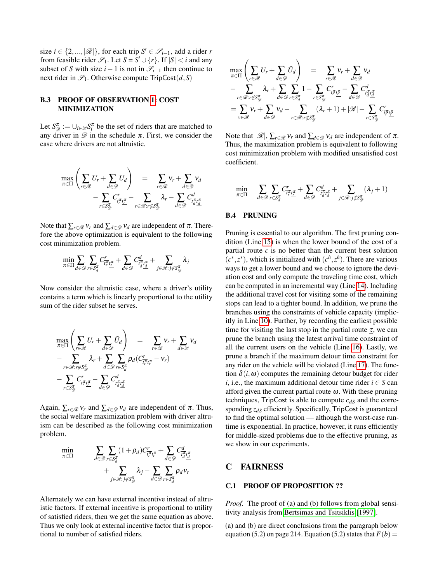size *i*  $\in$  {2, ..., |  $\mathscr{R}$ |}, for each trip  $S' \in \mathscr{S}_{i-1}$ , add a rider *r* from feasible rider  $\mathcal{S}_1$ . Let  $S = S' \cup \{r\}$ . If  $|S| < i$  and any subset of *S* with size  $i-1$  is not in  $\mathcal{S}_{i-1}$  then continue to next rider in  $\mathscr{S}_1$ . Otherwise compute  $TripCost(d, S)$ 

### B.3 PROOF OF OBSERVATION [1:](#page-2-7) COST MINIMIZATION

Let  $S_{\mathscr{D}}^{\pi} := \bigcup_{i \in \mathscr{D}} S_i^{\pi}$  be the set of riders that are matched to any driver in  $\mathscr{D}$  in the schedule  $\pi$ . First, we consider the case where drivers are not altruistic.

$$
\max_{\pi \in \Pi} \left( \sum_{r \in \mathcal{R}} U_r + \sum_{d \in \mathcal{D}} U_d \right) = \sum_{r \in \mathcal{R}} v_r + \sum_{d \in \mathcal{D}} v_d
$$

$$
- \sum_{r \in \mathcal{S}_{\mathcal{D}}^{\pi}} C_{\overline{t_r^{\pi}} \underline{t_r^{\pi}}}^r - \sum_{r \in \mathcal{R}: r \notin \mathcal{S}_{\mathcal{D}}^{\pi}} \lambda_r - \sum_{d \in \mathcal{D}} C_{\overline{t_d^{\pi}} \underline{t_d^{\pi}}}
$$

Note that  $\sum_{r \in \mathcal{R}} v_r$  and  $\sum_{d \in \mathcal{D}} v_d$  are independent of  $\pi$ . Therefore the above optimization is equivalent to the following cost minimization problem.

$$
\min_{\pi \in \Pi} \sum_{d \in \mathscr{D}} \sum_{r \in S_d^{\pi}} C_{\overline{t_r^{\pi}} \underline{t_r^{\pi}}}^r + \sum_{d \in \mathscr{D}} C_{\overline{t_d^{\pi}} \underline{t_d^{\pi}}}^d + \sum_{j \in \mathscr{R}: j \notin S_{\mathscr{D}}^{\pi}} \lambda_j
$$

Now consider the altruistic case, where a driver's utility contains a term which is linearly proportional to the utility sum of the rider subset he serves.

$$
\max_{\pi \in \Pi} \left( \sum_{r \in \mathcal{R}} U_r + \sum_{d \in \mathcal{D}} \tilde{U}_d \right) = \sum_{r \in \mathcal{R}} v_r + \sum_{d \in \mathcal{D}} v_d
$$
\n
$$
- \sum_{r \in \mathcal{R}: r \notin S_{\mathcal{D}}^{\pi}} \lambda_r + \sum_{d \in \mathcal{D}} \sum_{r \in S_d^{\pi}} \rho_d (C_{\overline{i_r^{\pi}} \underline{t_r^{\pi}}} - v_r)
$$
\n
$$
- \sum_{r \in S_{\mathcal{D}}^{\pi}} C_{\overline{i_r^{\pi}} \underline{t_r^{\pi}}}^r - \sum_{d \in \mathcal{D}} C_{\overline{i_d^{\pi}} \underline{t_d^{\pi}}}^d
$$

Again,  $\sum_{r \in \mathcal{R}} v_r$  and  $\sum_{d \in \mathcal{D}} v_d$  are independent of  $\pi$ . Thus, the social welfare maximization problem with driver altruism can be described as the following cost minimization problem.

$$
\min_{\pi \in \Pi} \qquad \sum_{d \in \mathcal{D}} \sum_{r \in S_d^{\pi}} (1 + \rho_d) C_{\overline{i_r^{\pi}} \underline{i_r^{\pi}}}^r + \sum_{d \in \mathcal{D}} C_{\overline{i_d^{\pi}} \underline{i_d^{\pi}}}^d + \sum_{j \in \mathcal{R} : j \notin S_{\mathcal{D}}^{\pi}} \lambda_j - \sum_{d \in \mathcal{D}} \sum_{r \in S_d^{\pi}} \rho_d v_r
$$

Alternately we can have external incentive instead of altruistic factors. If external incentive is proportional to utility of satisfied riders, then we get the same equation as above. Thus we only look at external incentive factor that is proportional to number of satisfied riders.

$$
\max_{\pi \in \Pi} \left( \sum_{r \in \mathcal{R}} U_r + \sum_{d \in \mathcal{D}} \tilde{U}_d \right) = \sum_{r \in \mathcal{R}} v_r + \sum_{d \in \mathcal{D}} v_d
$$
\n
$$
- \sum_{r \in \mathcal{R}: r \notin S_{\mathcal{D}}^{\pi}} \lambda_r + \sum_{d \in \mathcal{D}} \sum_{r \in S_{\mathcal{A}}^{\pi}} 1 - \sum_{r \in S_{\mathcal{D}}^{\pi}} C_{\overline{t_r}^{\pi} t_{\mathcal{L}}^{\pi}}^{\pi} - \sum_{d \in \mathcal{D}} C_{\overline{t_d}^{\pi} t_{\mathcal{A}}^{\pi}}^d
$$
\n
$$
= \sum_{v \in \mathcal{R}} v_r + \sum_{d \in \mathcal{D}} v_d - \sum_{r \in \mathcal{R}: r \notin S_{\mathcal{D}}^{\pi}} (\lambda_r + 1) + |\mathcal{R}| - \sum_{r \in S_{\mathcal{D}}^{\pi}} C_{\overline{t_r^{\pi}} t_{\mathcal{L}}^{\pi}}^{\pi}
$$

Note that  $|\mathcal{R}|$ ,  $\sum_{r \in \mathcal{R}} v_r$  and  $\sum_{d \in \mathcal{D}} v_d$  are independent of  $\pi$ . Thus, the maximization problem is equivalent to following cost minimization problem with modified unsatisfied cost coefficient.

$$
\min_{\pi \in \Pi} \quad \sum_{d \in \mathscr{D}} \sum_{r \in S_d^{\pi}} C_{\overline{t_r^{\pi}}\underline{t_r^{\pi}}}^r + \sum_{d \in \mathscr{D}} C_{\overline{t_d^{\pi}}\underline{t_d^{\pi}}}^d + \sum_{j \in \mathscr{R}: j \notin S_{\mathscr{D}}^{\pi}} (\lambda_j + 1)
$$

#### B.4 PRUNING

Pruning is essential to our algorithm. The first pruning condition (Line [15\)](#page-13-0) is when the lower bound of the cost of a partial route  $c$  is no better than the current best solution  $(c^*, z^*)$ , which is initialized with  $(c^h, z^h)$ . There are various ways to get a lower bound and we choose to ignore the deviation cost and only compute the traveling time cost, which can be computed in an incremental way (Line [14\)](#page-13-0). Including the additional travel cost for visiting some of the remaining stops can lead to a tighter bound. In addition, we prune the branches using the constraints of vehicle capacity (implicitly in Line [10\)](#page-13-0). Further, by recording the earliest possible time for visiting the last stop in the partial route  $\tau$ , we can prune the branch using the latest arrival time constraint of all the current users on the vehicle (Line [16\)](#page-13-0). Lastly, we prune a branch if the maximum detour time constraint for any rider on the vehicle will be violated (Line [17\)](#page-13-0). The function  $\delta(i, \omega)$  computes the remaining detour budget for rider *i*, i.e., the maximum additional detour time rider  $i \in S$  can afford given the current partial route  $\omega$ . With these pruning techniques, TripCost is able to compute  $c_{dS}$  and the corresponding *zdS* efficiently. Specifically, TripCost is guaranteed to find the optimal solution — although the worst-case runtime is exponential. In practice, however, it runs efficiently for middle-sized problems due to the effective pruning, as we show in our experiments.

### C FAIRNESS

### C.1 PROOF OF PROPOSITION ??

*Proof.* The proof of (a) and (b) follows from global sensitivity analysis from [Bertsimas and Tsitsiklis](#page-9-9) [\[1997\]](#page-9-9).

(a) and (b) are direct conclusions from the paragraph below equation (5.2) on page 214. Equation (5.2) states that  $F(b)$  =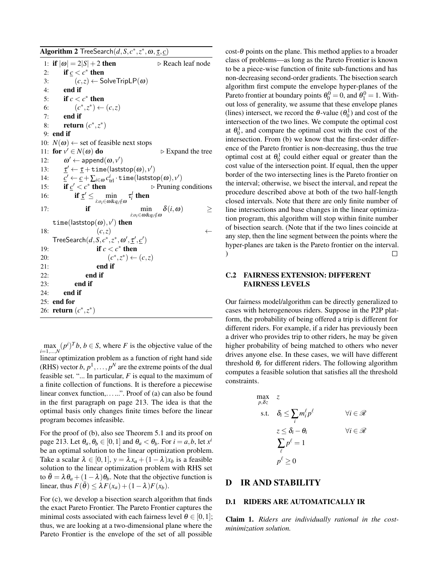<span id="page-13-0"></span>Algorithm 2 TreeSearch $(d, S, c^*, z^*, \omega, \underline{\tau}, \underline{c})$ 1: if  $|\omega| = 2|S| + 2$  then  $\triangleright$  Reach leaf node 2: if  $c < c^*$  then 3:  $(c, z) \leftarrow$  SolveTripLP $(\omega)$ 4: end if 5: if  $c < c^*$  then 6:  $(c^*, z^*) \leftarrow (c, z)$ 7: end if 8: **return**  $(c^*, z^*)$ 9: end if 10:  $N(\omega) \leftarrow$  set of feasible next stops 11: for  $v' \in N(\omega)$  do **⊳** Expand the tree 12: ω  $\theta' \leftarrow \mathsf{append}(\boldsymbol{\omega}, \nu')$  $13:$  $v' \leftarrow \underline{\tau} + \mathtt{time}(\mathsf{laststop}(\omega), v')$ 14: *c*  $\mathcal{O}' \leftarrow \underline{c} + \sum_{i \in \omega} c^i_{\text{trl}} \cdot \texttt{time}(\textsf{laststop}(\omega), \nu')$ 15: **if**  $c' < c^*$  $\triangleright$  Pruning conditions 16: if  $\underline{\tau}' \leq$ min *i*:*o*<sub>*i*</sub>∈ω&*q*<sub>*i*</sub>∉ω  $\tau_i^l$  then 17: **if**  $\min_{i: o_i \in \omega \& q_i \notin \omega} \delta(i, \omega) \ge$  $\tt time(laststop(\omega), v')$  then 18:  $(c, z)$  $\mathsf{TreeSearch}(d, S, c^*, z^*, \omega', \underline{\tau}', \underline{c}')$ 19: **if**  $c < c^*$  **then** 20: (*c*  $(x^*, z^*)$  ←  $(c, z)$ 21: end if 22: end if 23: end if 24: end if 25: end for 26: **return**  $(c^*, z^*)$ 

 $\max_{i=1,\dots,N} (p^i)^T b, b \in S$ , where *F* is the objective value of the linear optimization problem as a function of right hand side (RHS) vector  $b, p<sup>1</sup>, \ldots, p<sup>N</sup>$  are the extreme points of the dual feasible set. "... In particular, *F* is equal to the maximum of a finite collection of functions. It is therefore a piecewise linear convex function,......". Proof of (a) can also be found in the first paragraph on page 213. The idea is that the optimal basis only changes finite times before the linear program becomes infeasible.

For the proof of (b), also see Theorem 5.1 and its proof on page 213. Let  $\theta_a, \theta_b \in [0, 1]$  and  $\theta_a < \theta_b$ . For  $i = a, b$ , let  $x^i$ be an optimal solution to the linear optimization problem. Take a scalar  $\lambda \in [0,1]$ ,  $y = \lambda x_a + (1 - \lambda)x_b$  is a feasible solution to the linear optimization problem with RHS set to  $\bar{\theta} = \lambda \theta_a + (1 - \lambda) \theta_b$ . Note that the objective function is linear, thus  $F(\bar{\theta}) \leq \lambda F(x_a) + (1 - \lambda)F(x_b)$ .

For (c), we develop a bisection search algorithm that finds the exact Pareto Frontier. The Pareto Frontier captures the minimal costs associated with each fairness level  $\theta \in [0,1]$ ; thus, we are looking at a two-dimensional plane where the Pareto Frontier is the envelope of the set of all possible

cost- $\theta$  points on the plane. This method applies to a broader class of problems—as long as the Pareto Frontier is known to be a piece-wise function of finite sub-functions and has non-decreasing second-order gradients. The bisection search algorithm first compute the envelope hyper-planes of the Pareto frontier at boundary points  $\theta_0^0 = 0$ , and  $\theta_1^0 = 1$ . Without loss of generality, we assume that these envelope planes (lines) intersect, we record the  $\theta$ -value  $(\theta_0^1)$  and cost of the intersection of the two lines. We compute the optimal cost at  $\theta_0^1$ , and compare the optimal cost with the cost of the intersection. From (b) we know that the first-order difference of the Pareto frontier is non-decreasing, thus the true optimal cost at  $\theta_0^1$  could either equal or greater than the cost value of the intersection point. If equal, then the upper border of the two intersecting lines is the Pareto frontier on the interval; otherwise, we bisect the interval, and repeat the procedure described above at both of the two half-length closed intervals. Note that there are only finite number of line intersections and base changes in the linear optimization program, this algorithm will stop within finite number of bisection search. (Note that if the two lines coincide at any step, then the line segment between the points where the hyper-planes are taken is the Pareto frontier on the interval. )  $\Box$ 

### C.2 FAIRNESS EXTENSION: DIFFERENT FAIRNESS LEVELS

Our fairness model/algorithm can be directly generalized to cases with heterogeneous riders. Suppose in the P2P platform, the probability of being offered a trip is different for different riders. For example, if a rider has previously been a driver who provides trip to other riders, he may be given higher probability of being matched to others who never drives anyone else. In these cases, we will have different threshold  $\theta_r$  for different riders. The following algorithm computes a feasible solution that satisfies all the threshold constraints.

$$
\max_{p,\delta z} z
$$
\n
$$
\text{s.t.} \quad \delta_i \le \sum_i m_i^{\ell} p^{\ell} \qquad \forall i \in \mathcal{R}
$$
\n
$$
z \le \delta_i - \theta_i \qquad \forall i \in \mathcal{R}
$$
\n
$$
\sum_{\ell} p^{\ell} = 1
$$
\n
$$
p^{\ell} \ge 0
$$

# D IR AND STABILITY

### D.1 RIDERS ARE AUTOMATICALLY IR

Claim 1. *Riders are individually rational in the costminimization solution.*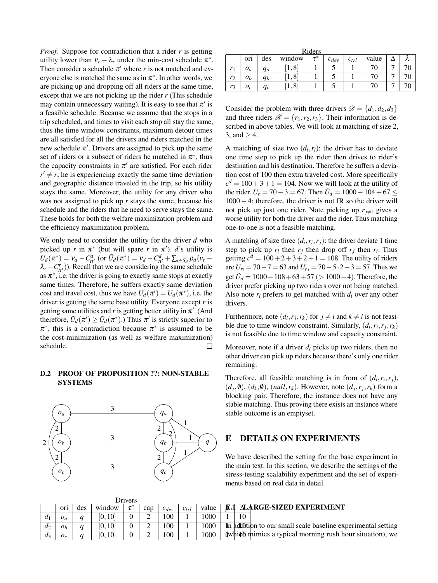*Proof.* Suppose for contradiction that a rider *r* is getting utility lower than  $v_r - \lambda_r$  under the min-cost schedule  $\pi^*$ . Then consider a schedule  $\pi'$  where *r* is not matched and everyone else is matched the same as in  $\pi^*$ . In other words, we are picking up and dropping off all riders at the same time, except that we are not picking up the rider *r* (This schedule may contain unnecessary waiting). It is easy to see that  $\pi'$  is a feasible schedule. Because we assume that the stops in a trip scheduled, and times to visit each stop all stay the same, thus the time window constraints, maximum detour times are all satisfied for all the drivers and riders matched in the new schedule  $\pi'$ . Drivers are assigned to pick up the same set of riders or a subsect of riders he matched in  $\pi^*$ , thus the capacity constraints in  $\pi'$  are satisfied. For each rider  $r' \neq r$ , he is experiencing exactly the same time deviation and geographic distance traveled in the trip, so his utility stays the same. Moreover, the utility for any driver who was not assigned to pick up *r* stays the same, because his schedule and the riders that he need to serve stays the same. These holds for both the welfare maximization problem and the efficiency maximization problem.

We only need to consider the utility for the driver *d* who picked up *r* in  $\pi^*$  (but will spare *r* in  $\pi'$ ). *d*'s utility is  $U_d(\pi^*) = v_d - C_{tt'}^d$  (or  $\tilde{U}_d(\pi^*) = v_d - C_{tt'}^d + \sum_{r \in S_d} \rho_d(v_r - r_r)$  $\lambda_r - C_{tt'}(t)$ ). Recall that we are considering the same schedule as  $\pi^*$ , i.e. the driver is going to exactly same stops at exactly same times. Therefore, he suffers exactly same deviation cost and travel cost, thus we have  $U_d(\pi') = U_d(\pi^*)$ , i.e. the driver is getting the same base utility. Everyone except *r* is getting same utilities and  $r$  is getting better utility in  $\pi'$ . (And therefore,  $\tilde{U}_d(\pi') \ge \tilde{U}_d(\pi^*)$ .) Thus  $\pi'$  is strictly superior to  $\pi^*$ , this is a contradiction because  $\pi^*$  is assumed to be the cost-minimization (as well as welfare maximization) schedule.  $\Box$ 

## D.2 PROOF OF PROPOSITION ??: NON-STABLE **SYSTEMS**



 $D<sub>min</sub>$ 

| Riders |                  |       |              |          |           |           |       |   |  |  |
|--------|------------------|-------|--------------|----------|-----------|-----------|-------|---|--|--|
|        | or <sub>1</sub>  | des   | window       | $\tau^*$ | $c_{dev}$ | $c_{trl}$ | value |   |  |  |
| $r_1$  | $o_a$            | $q_a$ | $,8^{\circ}$ |          |           |           | 70    | − |  |  |
| $r_2$  | $\mathfrak{o}_b$ | $q_b$ | $,8^{\circ}$ |          |           |           | 70    |   |  |  |
| $r_3$  | $o_c$            | $q_c$ | $.8^{1}$     |          |           |           | 70    |   |  |  |

Consider the problem with three drivers  $\mathcal{D} = \{d_1, d_2, d_3\}$ and three riders  $\mathcal{R} = \{r_1, r_2, r_3\}$ . Their information is described in above tables. We will look at matching of size 2, 3, and  $>$  4.

A matching of size two  $(d_i, r_i)$ : the driver has to deviate one time step to pick up the rider then drives to rider's destination and his destination. Therefore he suffers a deviation cost of 100 then extra traveled cost. More specifically  $c^d = 100 + 3 + 1 = 104$ . Now we will look at the utility of the rider.  $U_r = 70 - 3 = 67$ . Then  $\tilde{U}_d = 1000 - 104 + 67 \leq \tilde{U}_d$ 1000−4; therefore, the driver is not IR so the driver will not pick up just one rider. Note picking up  $r_{i\neq i}$  gives a worse utility for both the driver and the rider. Thus matching one-to-one is not a feasible matching.

A matching of size three  $(d_i, r_i, r_j)$ : the driver deviate 1 time step to pick up  $r_i$  then  $r_j$  then drop off  $r_j$  then  $r_i$ . Thus getting  $c^d = 100 + 2 + 3 + 2 + 1 = 108$ . The utility of riders are  $U_{r_i}$  = 70 − 7 = 63 and  $U_{r_i}$  = 70 − 5 ⋅ 2 − 3 = 57. Thus we get  $\tilde{U}_d = 1000 - 108 + 63 + 57 \ (> 1000 - 4)$ . Therefore, the driver prefer picking up two riders over not being matched. Also note  $r_i$  prefers to get matched with  $d_i$  over any other drivers.

Furthermore, note  $(d_i, r_j, r_k)$  for  $j \neq i$  and  $k \neq i$  is not feasible due to time window constraint. Similarly,  $(d_i, r_i, r_j, r_k)$ is not feasible due to time window and capacity constraint.

Moreover, note if a driver *d<sup>i</sup>* picks up two riders, then no other driver can pick up riders because there's only one rider remaining.

Therefore, all feasible matching is in from of  $(d_i, r_i, r_j)$ ,  $(d_j, \emptyset)$ ,  $(d_k, \emptyset)$ ,  $(null, r_k)$ . However, note  $(d_j, r_j, r_k)$  form a blocking pair. Therefore, the instance does not have any stable matching. Thus proving there exists an instance where stable outcome is an emptyset.

## E DETAILS ON EXPERIMENTS

We have described the setting for the base experiment in the main text. In this section, we describe the settings of the stress-testing scalability experiment and the set of experiments based on real data in detail.

| <b>LATTACIS</b> |                |     |         |  |     |           |           |       |                                                                 |
|-----------------|----------------|-----|---------|--|-----|-----------|-----------|-------|-----------------------------------------------------------------|
|                 | ori            | des | window  |  | cap | $c_{dev}$ | $c_{trl}$ | value | <b>E.1 ALARGE-SIZED EXPERIMENT</b>                              |
| $a_{1}$         | $O_a$          |     | [0, 10] |  |     | 100       |           | 1000  | 10                                                              |
| $d_2$           | O <sub>b</sub> |     | [0.10]  |  |     | 100       |           | 1000  | In addition to our small scale baseline experimental setting    |
| $a_3$           |                |     | [0.10]  |  |     | 100       |           | 1000  | $\phi$ (which mimics a typical morning rush hour situation), we |